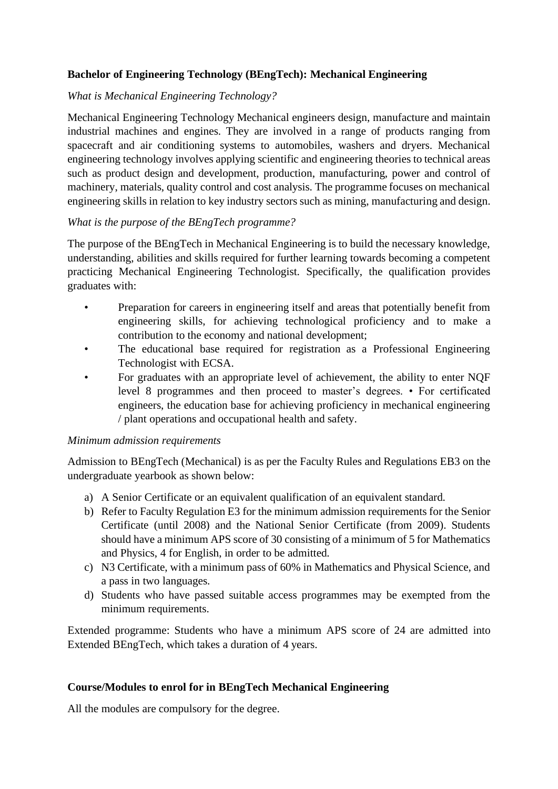# **Bachelor of Engineering Technology (BEngTech): Mechanical Engineering**

## *What is Mechanical Engineering Technology?*

Mechanical Engineering Technology Mechanical engineers design, manufacture and maintain industrial machines and engines. They are involved in a range of products ranging from spacecraft and air conditioning systems to automobiles, washers and dryers. Mechanical engineering technology involves applying scientific and engineering theories to technical areas such as product design and development, production, manufacturing, power and control of machinery, materials, quality control and cost analysis. The programme focuses on mechanical engineering skills in relation to key industry sectors such as mining, manufacturing and design.

### *What is the purpose of the BEngTech programme?*

The purpose of the BEngTech in Mechanical Engineering is to build the necessary knowledge, understanding, abilities and skills required for further learning towards becoming a competent practicing Mechanical Engineering Technologist. Specifically, the qualification provides graduates with:

- Preparation for careers in engineering itself and areas that potentially benefit from engineering skills, for achieving technological proficiency and to make a contribution to the economy and national development;
- The educational base required for registration as a Professional Engineering Technologist with ECSA.
- For graduates with an appropriate level of achievement, the ability to enter NQF level 8 programmes and then proceed to master's degrees. • For certificated engineers, the education base for achieving proficiency in mechanical engineering / plant operations and occupational health and safety.

#### *Minimum admission requirements*

Admission to BEngTech (Mechanical) is as per the Faculty Rules and Regulations EB3 on the undergraduate yearbook as shown below:

- a) A Senior Certificate or an equivalent qualification of an equivalent standard.
- b) Refer to Faculty Regulation E3 for the minimum admission requirements for the Senior Certificate (until 2008) and the National Senior Certificate (from 2009). Students should have a minimum APS score of 30 consisting of a minimum of 5 for Mathematics and Physics, 4 for English, in order to be admitted.
- c) N3 Certificate, with a minimum pass of 60% in Mathematics and Physical Science, and a pass in two languages.
- d) Students who have passed suitable access programmes may be exempted from the minimum requirements.

Extended programme: Students who have a minimum APS score of 24 are admitted into Extended BEngTech, which takes a duration of 4 years.

## **Course/Modules to enrol for in BEngTech Mechanical Engineering**

All the modules are compulsory for the degree.